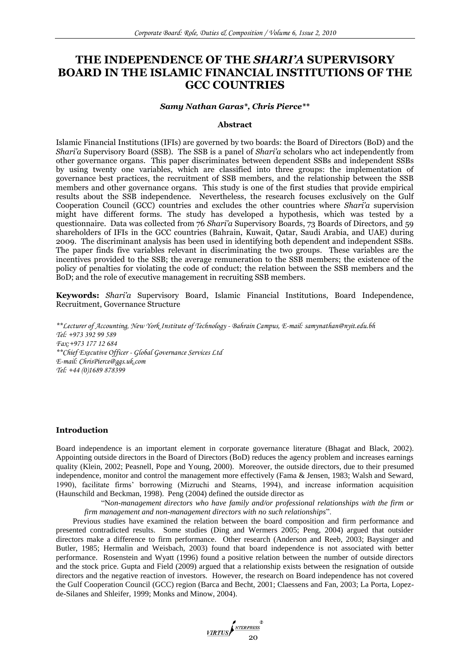# **THE INDEPENDENCE OF THE** *SHARI'A* **SUPERVISORY BOARD IN THE ISLAMIC FINANCIAL INSTITUTIONS OF THE GCC COUNTRIES**

#### *Samy Nathan Garas\*, Chris Pierce\*\**

# **Abstract**

Islamic Financial Institutions (IFIs) are governed by two boards: the Board of Directors (BoD) and the *Shari'a* Supervisory Board (SSB). The SSB is a panel of *Shari'a* scholars who act independently from other governance organs. This paper discriminates between dependent SSBs and independent SSBs by using twenty one variables, which are classified into three groups: the implementation of governance best practices, the recruitment of SSB members, and the relationship between the SSB members and other governance organs. This study is one of the first studies that provide empirical results about the SSB independence. Nevertheless, the research focuses exclusively on the Gulf Cooperation Council (GCC) countries and excludes the other countries where *Shari'a* supervision might have different forms. The study has developed a hypothesis, which was tested by a questionnaire. Data was collected from 76 *Shari'a* Supervisory Boards, 73 Boards of Directors, and 59 shareholders of IFIs in the GCC countries (Bahrain, Kuwait, Qatar, Saudi Arabia, and UAE) during 2009. The discriminant analysis has been used in identifying both dependent and independent SSBs. The paper finds five variables relevant in discriminating the two groups. These variables are the incentives provided to the SSB; the average remuneration to the SSB members; the existence of the policy of penalties for violating the code of conduct; the relation between the SSB members and the BoD; and the role of executive management in recruiting SSB members.

**Keywords:** *Shari'a* Supervisory Board, Islamic Financial Institutions, Board Independence, Recruitment, Governance Structure

*\*\*Lecturer of Accounting, New York Institute of Technology - Bahrain Campus, E-mail: [samynathan@nyit.edu.bh](mailto:samynathan@nyit.edu.bh) Tel: +973 392 99 589 Fax:+973 177 12 684 \*\*Chief Executive Officer - Global Governance Services Ltd E-mail: ChrisPierce@ggs.uk.com Tel: +44 (0)1689 878399*

## **Introduction**

Board independence is an important element in corporate governance literature (Bhagat and Black, 2002). Appointing outside directors in the Board of Directors (BoD) reduces the agency problem and increases earnings quality (Klein, 2002; Peasnell, Pope and Young, 2000). Moreover, the outside directors, due to their presumed independence, monitor and control the management more effectively (Fama & Jensen, 1983; Walsh and Seward, 1990), facilitate firms" borrowing (Mizruchi and Stearns, 1994), and increase information acquisition (Haunschild and Beckman, 1998). Peng (2004) defined the outside director as

"N*on-management directors who have family and/or professional relationships with the firm or firm management and non-management directors with no such relationships*".

Previous studies have examined the relation between the board composition and firm performance and presented contradicted results. Some studies (Ding and Wermers 2005; Peng, 2004) argued that outsider directors make a difference to firm performance. Other research (Anderson and Reeb, 2003; Baysinger and Butler, 1985; Hermalin and Weisbach, 2003) found that board independence is not associated with better performance. Rosenstein and Wyatt (1996) found a positive relation between the number of outside directors and the stock price. Gupta and Field (2009) argued that a relationship exists between the resignation of outside directors and the negative reaction of investors. However, the research on Board independence has not covered the Gulf Cooperation Council (GCC) region (Barca and Becht, 2001; Claessens and Fan, 2003; La Porta, Lopezde-Silanes and Shleifer, 1999; Monks and Minow, 2004).

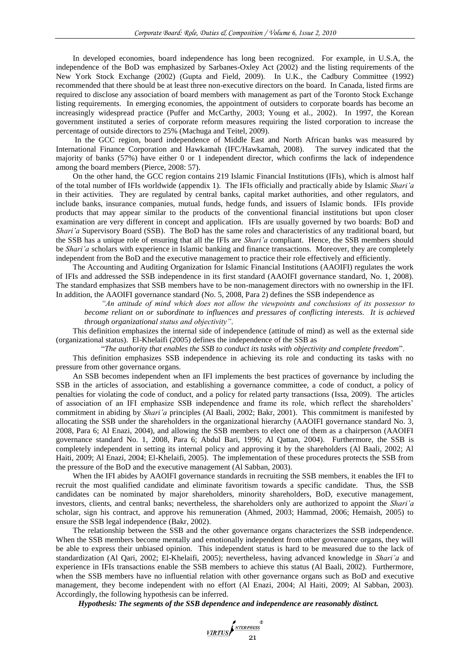In developed economies, board independence has long been recognized. For example, in U.S.A, the independence of the BoD was emphasized by Sarbanes-Oxley Act (2002) and the listing requirements of the New York Stock Exchange (2002) (Gupta and Field, 2009). In U.K., the Cadbury Committee (1992) recommended that there should be at least three non-executive directors on the board. In Canada, listed firms are required to disclose any association of board members with management as part of the Toronto Stock Exchange listing requirements. In emerging economies, the appointment of outsiders to corporate boards has become an increasingly widespread practice (Puffer and McCarthy, 2003; Young et al., 2002). In 1997, the Korean government instituted a series of corporate reform measures requiring the listed corporation to increase the percentage of outside directors to 25% (Machuga and Teitel, 2009).

In the GCC region, board independence of Middle East and North African banks was measured by International Finance Corporation and Hawkamah (IFC/Hawkamah, 2008). The survey indicated that the majority of banks (57%) have either 0 or 1 independent director, which confirms the lack of independence among the board members (Pierce, 2008: 57).

On the other hand, the GCC region contains 219 Islamic Financial Institutions (IFIs), which is almost half of the total number of IFIs worldwide (appendix 1). The IFIs officially and practically abide by Islamic *Shari'a* in their activities. They are regulated by central banks, capital market authorities, and other regulators, and include banks, insurance companies, mutual funds, hedge funds, and issuers of Islamic bonds. IFIs provide products that may appear similar to the products of the conventional financial institutions but upon closer examination are very different in concept and application. IFIs are usually governed by two boards: BoD and *Shari'a* Supervisory Board (SSB). The BoD has the same roles and characteristics of any traditional board, but the SSB has a unique role of ensuring that all the IFIs are *Shari'a* compliant. Hence, the SSB members should be *Shari'a* scholars with experience in Islamic banking and finance transactions. Moreover, they are completely independent from the BoD and the executive management to practice their role effectively and efficiently.

The Accounting and Auditing Organization for Islamic Financial Institutions (AAOIFI) regulates the work of IFIs and addressed the SSB independence in its first standard (AAOIFI governance standard, No. 1, 2008). The standard emphasizes that SSB members have to be non-management directors with no ownership in the IFI. In addition, the AAOIFI governance standard (No. 5, 2008, Para 2) defines the SSB independence as

*"An attitude of mind which does not allow the viewpoints and conclusions of its possessor to become reliant on or subordinate to influences and pressures of conflicting interests. It is achieved through organizational status and objectivity"*.

This definition emphasizes the internal side of independence (attitude of mind) as well as the external side (organizational status). El-Khelaifi (2005) defines the independence of the SSB as

"*The authority that enables the SSB to conduct its tasks with objectivity and complete freedom*".

This definition emphasizes SSB independence in achieving its role and conducting its tasks with no pressure from other governance organs.

An SSB becomes independent when an IFI implements the best practices of governance by including the SSB in the articles of association, and establishing a governance committee, a code of conduct, a policy of penalties for violating the code of conduct, and a policy for related party transactions (Issa, 2009). The articles of association of an IFI emphasize SSB independence and frame its role, which reflect the shareholders" commitment in abiding by *Shari'a* principles (Al Baali, 2002; Bakr, 2001). This commitment is manifested by allocating the SSB under the shareholders in the organizational hierarchy (AAOIFI governance standard No. 3, 2008, Para 6; Al Enazi, 2004), and allowing the SSB members to elect one of them as a chairperson (AAOIFI governance standard No. 1, 2008, Para 6; Abdul Bari, 1996; Al Qattan, 2004). Furthermore, the SSB is completely independent in setting its internal policy and approving it by the shareholders (Al Baali, 2002; Al Haiti, 2009; Al Enazi, 2004; El-Khelaifi, 2005). The implementation of these procedures protects the SSB from the pressure of the BoD and the executive management (Al Sabban, 2003).

When the IFI abides by AAOIFI governance standards in recruiting the SSB members, it enables the IFI to recruit the most qualified candidate and eliminate favoritism towards a specific candidate. Thus, the SSB candidates can be nominated by major shareholders, minority shareholders, BoD, executive management, investors, clients, and central banks; nevertheless, the shareholders only are authorized to appoint the *Shari'a* scholar, sign his contract, and approve his remuneration (Ahmed, 2003; Hammad, 2006; Hemaish, 2005) to ensure the SSB legal independence (Bakr, 2002).

The relationship between the SSB and the other governance organs characterizes the SSB independence. When the SSB members become mentally and emotionally independent from other governance organs, they will be able to express their unbiased opinion. This independent status is hard to be measured due to the lack of standardization (Al Qari, 2002; El-Khelaifi, 2005); nevertheless, having advanced knowledge in *Shari'a* and experience in IFIs transactions enable the SSB members to achieve this status (Al Baali, 2002). Furthermore, when the SSB members have no influential relation with other governance organs such as BoD and executive management, they become independent with no effort (Al Enazi, 2004; Al Haiti, 2009; Al Sabban, 2003). Accordingly, the following hypothesis can be inferred.

*Hypothesis: The segments of the SSB dependence and independence are reasonably distinct.*

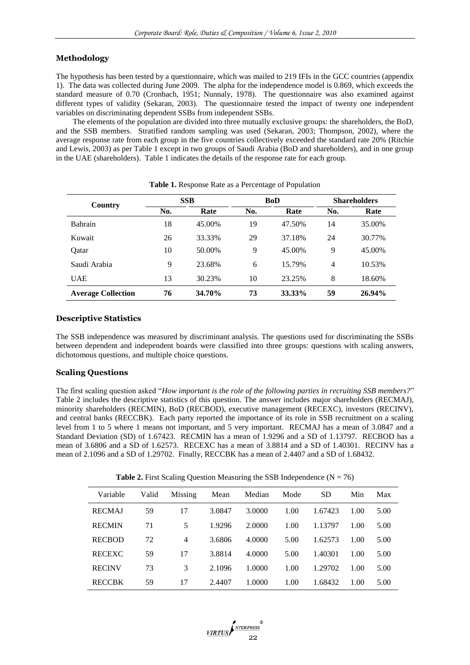# **Methodology**

The hypothesis has been tested by a questionnaire, which was mailed to 219 IFIs in the GCC countries (appendix 1). The data was collected during June 2009. The alpha for the independence model is 0.869, which exceeds the standard measure of 0.70 (Cronbach, 1951; Nunnaly, 1978). The questionnaire was also examined against different types of validity (Sekaran, 2003). The questionnaire tested the impact of twenty one independent variables on discriminating dependent SSBs from independent SSBs.

The elements of the population are divided into three mutually exclusive groups: the shareholders, the BoD, and the SSB members. Stratified random sampling was used (Sekaran, 2003; Thompson, 2002), where the average response rate from each group in the five countries collectively exceeded the standard rate 20% (Ritchie and Lewis, 2003) as per Table 1 except in two groups of Saudi Arabia (BoD and shareholders), and in one group in the UAE (shareholders). Table 1 indicates the details of the response rate for each group.

| Country                   |     | <b>SSB</b> |     | <b>BoD</b> | <b>Shareholders</b> |        |  |
|---------------------------|-----|------------|-----|------------|---------------------|--------|--|
|                           | No. | Rate       | No. | Rate       | No.                 | Rate   |  |
| <b>Bahrain</b>            | 18  | 45.00%     | 19  | 47.50%     | 14                  | 35.00% |  |
| Kuwait                    | 26  | 33.33%     | 29  | 37.18%     | 24                  | 30.77% |  |
| Oatar                     | 10  | 50.00%     | 9   | 45.00%     | 9                   | 45.00% |  |
| Saudi Arabia              | 9   | 23.68%     | 6   | 15.79%     | 4                   | 10.53% |  |
| <b>UAE</b>                | 13  | 30.23%     | 10  | 23.25%     | 8                   | 18.60% |  |
| <b>Average Collection</b> | 76  | 34.70%     | 73  | 33.33%     | 59                  | 26.94% |  |

**Table 1.** Response Rate as a Percentage of Population

### **Descriptive Statistics**

The SSB independence was measured by discriminant analysis. The questions used for discriminating the SSBs between dependent and independent boards were classified into three groups: questions with scaling answers, dichotomous questions, and multiple choice questions.

# **Scaling Questions**

The first scaling question asked "*How important is the role of the following parties in recruiting SSB members?*" Table 2 includes the descriptive statistics of this question. The answer includes major shareholders (RECMAJ), minority shareholders (RECMIN), BoD (RECBOD), executive management (RECEXC), investors (RECINV), and central banks (RECCBK). Each party reported the importance of its role in SSB recruitment on a scaling level from 1 to 5 where 1 means not important, and 5 very important. RECMAJ has a mean of 3.0847 and a Standard Deviation (SD) of 1.67423. RECMIN has a mean of 1.9296 and a SD of 1.13797. RECBOD has a mean of 3.6806 and a SD of 1.62573. RECEXC has a mean of 3.8814 and a SD of 1.40301. RECINV has a mean of 2.1096 and a SD of 1.29702. Finally, RECCBK has a mean of 2.4407 and a SD of 1.68432.

**Table 2.** First Scaling Question Measuring the SSB Independence  $(N = 76)$ 

| Variable      | Valid | Missing | Mean   | Median | Mode | <b>SD</b> | Min  | Max  |
|---------------|-------|---------|--------|--------|------|-----------|------|------|
| <b>RECMAJ</b> | 59    | 17      | 3.0847 | 3.0000 | 1.00 | 1.67423   | 1.00 | 5.00 |
| <b>RECMIN</b> | 71    | 5       | 1.9296 | 2.0000 | 1.00 | 1.13797   | 1.00 | 5.00 |
| <b>RECBOD</b> | 72    | 4       | 3.6806 | 4.0000 | 5.00 | 1.62573   | 1.00 | 5.00 |
| <b>RECEXC</b> | 59    | 17      | 3.8814 | 4.0000 | 5.00 | 1.40301   | 1.00 | 5.00 |
| <b>RECINV</b> | 73    | 3       | 2.1096 | 1.0000 | 1.00 | 1.29702   | 1.00 | 5.00 |
| <b>RECCBK</b> | 59    | 17      | 2.4407 | 1.0000 | 1.00 | 1.68432   | 1.00 | 5.00 |

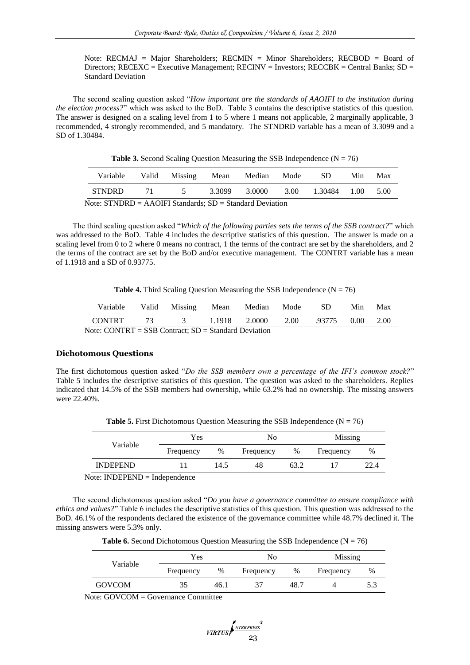Note: RECMAJ = Major Shareholders; RECMIN = Minor Shareholders; RECBOD = Board of Directors; RECEXC = Executive Management; RECINV = Investors; RECCBK = Central Banks;  $SD =$ Standard Deviation

The second scaling question asked "*How important are the standards of AAOIFI to the institution during the election process?*" which was asked to the BoD. Table 3 contains the descriptive statistics of this question. The answer is designed on a scaling level from 1 to 5 where 1 means not applicable, 2 marginally applicable, 3 recommended, 4 strongly recommended, and 5 mandatory. The STNDRD variable has a mean of 3.3099 and a SD of 1.30484.

**Table 3.** Second Scaling Question Measuring the SSB Independence  $(N = 76)$ 

| Variable                                                                                                                                                                                                                                                                                                          | Valid Missing Mean Median Mode |        |        | - SD              | Min | Max  |
|-------------------------------------------------------------------------------------------------------------------------------------------------------------------------------------------------------------------------------------------------------------------------------------------------------------------|--------------------------------|--------|--------|-------------------|-----|------|
| STNDRD                                                                                                                                                                                                                                                                                                            | 71 5                           | 3.3099 | 3.0000 | 3.00 1.30484 1.00 |     | 5.00 |
| $\mathcal{F}$ and $\mathcal{F}$ and $\mathcal{F}$ and $\mathcal{F}$ and $\mathcal{F}$ and $\mathcal{F}$ and $\mathcal{F}$ and $\mathcal{F}$ and $\mathcal{F}$ and $\mathcal{F}$ and $\mathcal{F}$ and $\mathcal{F}$ and $\mathcal{F}$ and $\mathcal{F}$ and $\mathcal{F}$ and $\mathcal{F}$ and $\mathcal{F}$ and |                                |        |        |                   |     |      |

Note: STNDRD = AAOIFI Standards; SD = Standard Deviation

The third scaling question asked "*Which of the following parties sets the terms of the SSB contract?*" which was addressed to the BoD. Table 4 includes the descriptive statistics of this question. The answer is made on a scaling level from 0 to 2 where 0 means no contract, 1 the terms of the contract are set by the shareholders, and 2 the terms of the contract are set by the BoD and/or executive management. The CONTRT variable has a mean of 1.1918 and a SD of 0.93775.

**Table 4.** Third Scaling Question Measuring the SSB Independence  $(N = 76)$ 

| Variable                                                 |  | Valid Missing Mean Median |               |  | Mode | -SD    | Min. | Max  |
|----------------------------------------------------------|--|---------------------------|---------------|--|------|--------|------|------|
| CONTRT                                                   |  | 73 3                      | 1.1918 2.0000 |  | 2.00 | .93775 | 0.00 | 2.00 |
| Note: CONTRT = $SSB$ Contract: $SD = Standard$ Deviation |  |                           |               |  |      |        |      |      |

 $\det$ : CONTRT = SSB Contract; SD = Standard Dev

## **Dichotomous Questions**

The first dichotomous question asked "*Do the SSB members own a percentage of the IFI's common stock?*" Table 5 includes the descriptive statistics of this question. The question was asked to the shareholders. Replies indicated that 14.5% of the SSB members had ownership, while 63.2% had no ownership. The missing answers were 22.40%.

**Table 5.** First Dichotomous Question Measuring the SSB Independence  $(N = 76)$ 

| Variable        | Yes       |      | No        |      | <b>Missing</b> |      |  |
|-----------------|-----------|------|-----------|------|----------------|------|--|
|                 | Frequency | %    | Frequency | %    | Frequency      | %    |  |
| <b>INDEPEND</b> |           | 14.5 | 48        | 63.2 |                | 22.4 |  |

Note: INDEPEND = Independence

The second dichotomous question asked "*Do you have a governance committee to ensure compliance with ethics and values?*" Table 6 includes the descriptive statistics of this question. This question was addressed to the BoD. 46.1% of the respondents declared the existence of the governance committee while 48.7% declined it. The missing answers were 5.3% only.

**Table 6.** Second Dichotomous Question Measuring the SSB Independence  $(N = 76)$ 

| Variable      | Yes       |      | No        |      | Missing   |     |
|---------------|-----------|------|-----------|------|-----------|-----|
|               | Frequency | %    | Frequency | %    | Frequency | %   |
| <b>GOVCOM</b> | 35        | 46.1 |           | 48.7 |           | 5.3 |

Note: GOVCOM = Governance Committee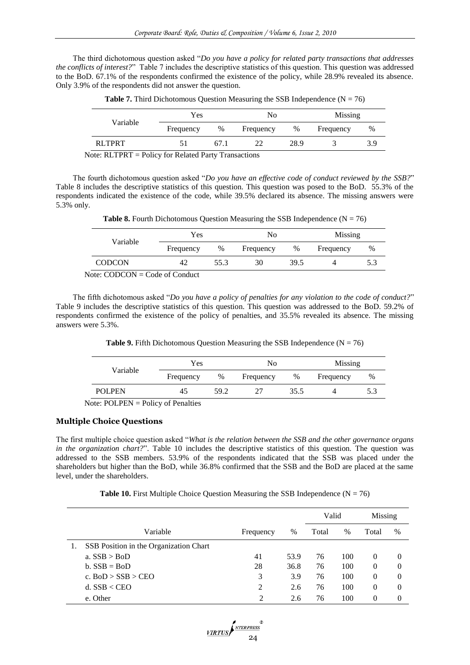The third dichotomous question asked "*Do you have a policy for related party transactions that addresses the conflicts of interest?*" Table 7 includes the descriptive statistics of this question. This question was addressed to the BoD. 67.1% of the respondents confirmed the existence of the policy, while 28.9% revealed its absence. Only 3.9% of the respondents did not answer the question.

| Variable | Yes       |      | No        |      | Missing   |     |
|----------|-----------|------|-----------|------|-----------|-----|
|          | Frequency | %    | Frequency | %    | Frequency | %   |
| RLTPRT   |           | 67.1 | າາ        | 28.9 |           | 3.9 |

**Table 7.** Third Dichotomous Question Measuring the SSB Independence  $(N = 76)$ 

Note: RLTPRT = Policy for Related Party Transactions

The fourth dichotomous question asked "*Do you have an effective code of conduct reviewed by the SSB?*" Table 8 includes the descriptive statistics of this question. This question was posed to the BoD. 55.3% of the respondents indicated the existence of the code, while 39.5% declared its absence. The missing answers were 5.3% only.

|                                          | Yes       |      | No        |      | Missing   |     |
|------------------------------------------|-----------|------|-----------|------|-----------|-----|
| Variable                                 | Frequency | %    | Frequency | %    | Frequency | %   |
| <b>CODCON</b>                            | 42        | 55.3 | 30        | 39.5 |           | 5.3 |
| $N_{\rm oto}$ : CODCON – Code of Conduct |           |      |           |      |           |     |

Note: CODCON  $=$  Code of Conduct

The fifth dichotomous asked "*Do you have a policy of penalties for any violation to the code of conduct?*" Table 9 includes the descriptive statistics of this question. This question was addressed to the BoD. 59.2% of respondents confirmed the existence of the policy of penalties, and 35.5% revealed its absence. The missing answers were 5.3%.

**Table 9.** Fifth Dichotomous Question Measuring the SSB Independence  $(N = 76)$ 

|               | Yes       |      | No        |      | Missing   |   |
|---------------|-----------|------|-----------|------|-----------|---|
| Variable      | Frequency | %    | Frequency | $\%$ | Frequency | % |
| <b>POLPEN</b> | 45        | 59.2 |           | 35.5 |           |   |

Note: POLPEN = Policy of Penalties

# **Multiple Choice Questions**

The first multiple choice question asked "*What is the relation between the SSB and the other governance organs in the organization chart?*". Table 10 includes the descriptive statistics of this question. The question was addressed to the SSB members. 53.9% of the respondents indicated that the SSB was placed under the shareholders but higher than the BoD, while 36.8% confirmed that the SSB and the BoD are placed at the same level, under the shareholders.

**Table 10.** First Multiple Choice Question Measuring the SSB Independence  $(N = 76)$ 

|                                        |                |      | Valid |      | Missing  |          |
|----------------------------------------|----------------|------|-------|------|----------|----------|
| Variable                               | Frequency      | $\%$ | Total | $\%$ | Total    | $\%$     |
| SSB Position in the Organization Chart |                |      |       |      |          |          |
| a. $SSB > Bob$                         | 41             | 53.9 | 76    | 100  | $\Omega$ | $\Omega$ |
| $b. SSB = BoD$                         | 28             | 36.8 | 76    | 100  | $\theta$ | $\Omega$ |
| c. $BoD > SSB > CEO$                   | 3              | 3.9  | 76    | 100  | $\Omega$ | $\theta$ |
| d. $SSB <$ CEO                         | $\overline{c}$ | 2.6  | 76    | 100  | $\Omega$ | $\Omega$ |
| e. Other                               | 2              | 2.6  | 76    | 100  | 0        | $\theta$ |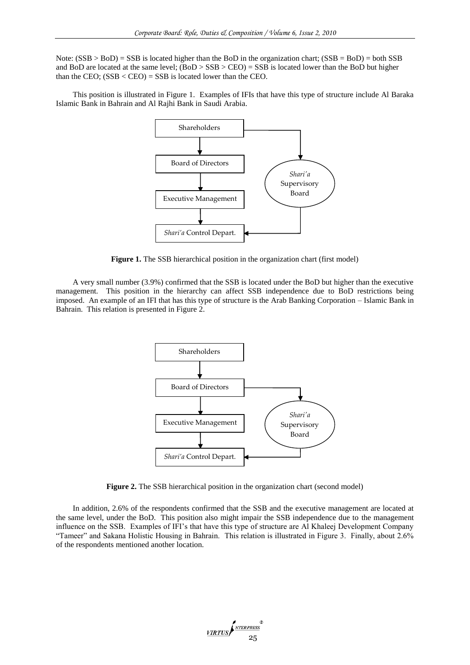Note:  $(SSB > Bob) = SSB$  is located higher than the BoD in the organization chart;  $(SSB = Bob) = both SSB$ and BoD are located at the same level; (BoD > SSB > CEO) = SSB is located lower than the BoD but higher than the CEO;  $(SSB < CEO) = SSB$  is located lower than the CEO.

This position is illustrated in Figure 1. Examples of IFIs that have this type of structure include Al Baraka Islamic Bank in Bahrain and Al Rajhi Bank in Saudi Arabia.



**Figure 1.** The SSB hierarchical position in the organization chart (first model)

A very small number (3.9%) confirmed that the SSB is located under the BoD but higher than the executive management. This position in the hierarchy can affect SSB independence due to BoD restrictions being imposed. An example of an IFI that has this type of structure is the Arab Banking Corporation – Islamic Bank in Bahrain. This relation is presented in Figure 2.



**Figure 2.** The SSB hierarchical position in the organization chart (second model)

In addition, 2.6% of the respondents confirmed that the SSB and the executive management are located at the same level, under the BoD. This position also might impair the SSB independence due to the management influence on the SSB. Examples of IFI's that have this type of structure are Al Khaleej Development Company "Tameer" and Sakana Holistic Housing in Bahrain. This relation is illustrated in Figure 3. Finally, about 2.6% of the respondents mentioned another location.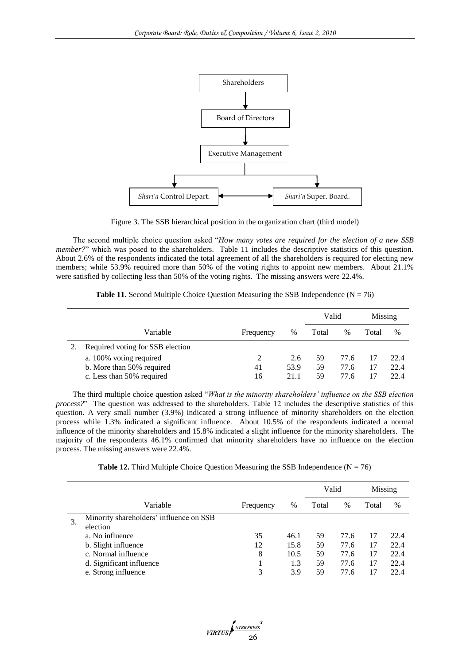

Figure 3. The SSB hierarchical position in the organization chart (third model)

The second multiple choice question asked "*How many votes are required for the election of a new SSB member?*" which was posed to the shareholders. Table 11 includes the descriptive statistics of this question. About 2.6% of the respondents indicated the total agreement of all the shareholders is required for electing new members; while 53.9% required more than 50% of the voting rights to appoint new members. About 21.1% were satisfied by collecting less than 50% of the voting rights. The missing answers were 22.4%.

**Table 11.** Second Multiple Choice Question Measuring the SSB Independence  $(N = 76)$ 

|                                  |           |      | Valid |      | Missing |      |
|----------------------------------|-----------|------|-------|------|---------|------|
| Variable                         | Frequency | %    | Total | $\%$ | Total   | %    |
| Required voting for SSB election |           |      |       |      |         |      |
| a. 100% voting required          | 2         | 2.6  | 59    | 77.6 |         | 22.4 |
| b. More than 50% required        | 41        | 53.9 | 59    | 77.6 |         | 22.4 |
| c. Less than 50% required        | 16        | 21.1 | 59    | 77.6 |         | 22.4 |

The third multiple choice question asked "*What is the minority shareholders' influence on the SSB election process?*" The question was addressed to the shareholders. Table 12 includes the descriptive statistics of this question. A very small number (3.9%) indicated a strong influence of minority shareholders on the election process while 1.3% indicated a significant influence. About 10.5% of the respondents indicated a normal influence of the minority shareholders and 15.8% indicated a slight influence for the minority shareholders. The majority of the respondents 46.1% confirmed that minority shareholders have no influence on the election process. The missing answers were 22.4%.

**Table 12.** Third Multiple Choice Question Measuring the SSB Independence  $(N = 76)$ 

|    |                                         |           |      | Valid |      | Missing |      |
|----|-----------------------------------------|-----------|------|-------|------|---------|------|
|    | Variable                                | Frequency | $\%$ | Total | $\%$ | Total   | $\%$ |
| 3. | Minority shareholders' influence on SSB |           |      |       |      |         |      |
|    | election                                |           |      |       |      |         |      |
|    | a. No influence                         | 35        | 46.1 | 59    | 77.6 | 17      | 22.4 |
|    | b. Slight influence                     | 12        | 15.8 | 59    | 77.6 | 17      | 22.4 |
|    | c. Normal influence                     | 8         | 10.5 | 59    | 77.6 | 17      | 22.4 |
|    | d. Significant influence                |           | 1.3  | 59    | 77.6 | 17      | 22.4 |
|    | e. Strong influence                     | 3         | 3.9  | 59    | 77.6 |         | 22.4 |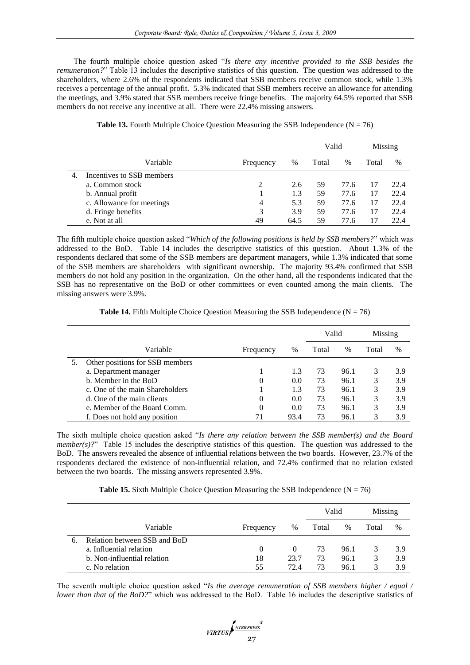The fourth multiple choice question asked "*Is there any incentive provided to the SSB besides the remuneration?*" Table 13 includes the descriptive statistics of this question. The question was addressed to the shareholders, where 2.6% of the respondents indicated that SSB members receive common stock, while 1.3% receives a percentage of the annual profit. 5.3% indicated that SSB members receive an allowance for attending the meetings, and 3.9% stated that SSB members receive fringe benefits. The majority 64.5% reported that SSB members do not receive any incentive at all. There were 22.4% missing answers.

|    |                           |           |      | Valid |      | Missing |      |
|----|---------------------------|-----------|------|-------|------|---------|------|
|    | Variable                  | Frequency | $\%$ | Total | $\%$ | Total   | %    |
| 4. | Incentives to SSB members |           |      |       |      |         |      |
|    | a. Common stock           | 2         | 2.6  | 59    | 77.6 | 17      | 22.4 |
|    | b. Annual profit          |           | 1.3  | 59    | 77.6 | 17      | 22.4 |
|    | c. Allowance for meetings | 4         | 5.3  | 59    | 77.6 | 17      | 22.4 |
|    | d. Fringe benefits        | 3         | 3.9  | 59    | 77.6 | 17      | 22.4 |
|    | e. Not at all             | 49        | 64.5 | 59    | 77.6 |         | 22.4 |

| <b>Table 13.</b> Fourth Multiple Choice Question Measuring the SSB Independence ( $N = 76$ ) |  |  |  |  |  |  |
|----------------------------------------------------------------------------------------------|--|--|--|--|--|--|
|----------------------------------------------------------------------------------------------|--|--|--|--|--|--|

The fifth multiple choice question asked "*Which of the following positions is held by SSB members?*" which was addressed to the BoD. Table 14 includes the descriptive statistics of this question. About 1.3% of the respondents declared that some of the SSB members are department managers, while 1.3% indicated that some of the SSB members are shareholders with significant ownership. The majority 93.4% confirmed that SSB members do not hold any position in the organization. On the other hand, all the respondents indicated that the SSB has no representative on the BoD or other committees or even counted among the main clients. The missing answers were 3.9%.

**Table 14.** Fifth Multiple Choice Question Measuring the SSB Independence  $(N = 76)$ 

|                                 |           |      | Valid |      | Missing |               |
|---------------------------------|-----------|------|-------|------|---------|---------------|
| Variable                        | Frequency | %    | Total | $\%$ | Total   | $\frac{0}{0}$ |
| Other positions for SSB members |           |      |       |      |         |               |
| a. Department manager           |           | 1.3  | 73    | 96.1 | 3       | 3.9           |
| b. Member in the BoD            | $\theta$  | 0.0  | 73    | 96.1 | 3       | 3.9           |
| c. One of the main Shareholders |           | 1.3  | 73    | 96.1 | 3       | 3.9           |
| d. One of the main clients      | $\Omega$  | 0.0  | 73    | 96.1 | 3       | 3.9           |
| e. Member of the Board Comm.    | 0         | 0.0  | 73    | 96.1 | 3       | 3.9           |
| f. Does not hold any position   |           | 93.4 | 73    | 96.1 |         | 3.9           |

The sixth multiple choice question asked "*Is there any relation between the SSB member(s) and the Board member(s)?*" Table 15 includes the descriptive statistics of this question. The question was addressed to the BoD. The answers revealed the absence of influential relations between the two boards. However, 23.7% of the respondents declared the existence of non-influential relation, and 72.4% confirmed that no relation existed between the two boards. The missing answers represented 3.9%.

**Table 15.** Sixth Multiple Choice Ouestion Measuring the SSB Independence  $(N = 76)$ 

|    |                              |           |      | Valid |      | Missing |      |
|----|------------------------------|-----------|------|-------|------|---------|------|
|    | Variable                     | Frequency | $\%$ | Total | $\%$ | Total   | $\%$ |
| 6. | Relation between SSB and BoD |           |      |       |      |         |      |
|    | a. Influential relation      | $\theta$  |      | 73    | 96.1 |         | 3.9  |
|    | b. Non-influential relation  | 18        | 23.7 | 73    | 96.1 | 3       | 3.9  |
|    | c. No relation               | 55        | 72.4 | 73    | 96.1 | 3       | 3.9  |

The seventh multiple choice question asked "*Is the average remuneration of SSB members higher / equal / lower than that of the BoD?*" which was addressed to the BoD. Table 16 includes the descriptive statistics of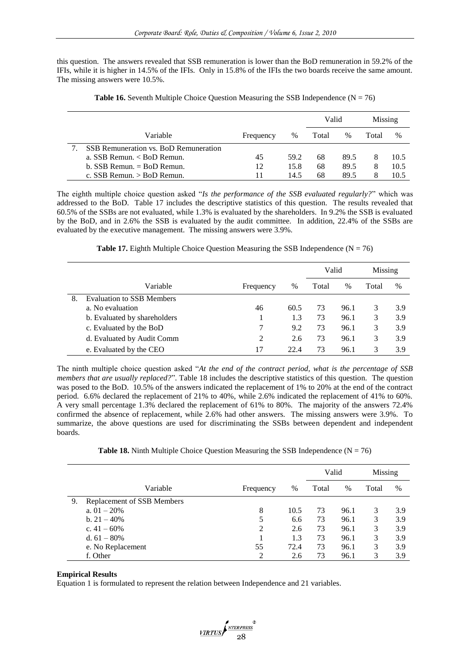this question. The answers revealed that SSB remuneration is lower than the BoD remuneration in 59.2% of the IFIs, while it is higher in 14.5% of the IFIs. Only in 15.8% of the IFIs the two boards receive the same amount. The missing answers were 10.5%.

|                                       |           |      | Valid |      | Missing |      |
|---------------------------------------|-----------|------|-------|------|---------|------|
| Variable                              | Frequency | $\%$ | Total | $\%$ | Total   | $\%$ |
| SSB Remuneration vs. BoD Remuneration |           |      |       |      |         |      |
| a. SSB Remun. $<$ BoD Remun.          | 45        | 59.2 | 68    | 89.5 |         | 10.5 |
| $b.$ SSB Remun. $=$ BoD Remun.        | 12        | 15.8 | 68    | 89.5 | 8       | 10.5 |
| c. SSB Remun. $>$ BoD Remun.          | 11        | 14.5 | 68    | 89.5 |         | 10.5 |

**Table 16.** Seventh Multiple Choice Question Measuring the SSB Independence ( $N = 76$ )

The eighth multiple choice question asked "*Is the performance of the SSB evaluated regularly?*" which was addressed to the BoD. Table 17 includes the descriptive statistics of this question. The results revealed that 60.5% of the SSBs are not evaluated, while 1.3% is evaluated by the shareholders. In 9.2% the SSB is evaluated by the BoD, and in 2.6% the SSB is evaluated by the audit committee. In addition, 22.4% of the SSBs are evaluated by the executive management. The missing answers were 3.9%.

**Table 17.** Eighth Multiple Choice Question Measuring the SSB Independence ( $N = 76$ )

|    |                                  |           |      | Valid |               | Missing |      |
|----|----------------------------------|-----------|------|-------|---------------|---------|------|
|    | Variable                         | Frequency | $\%$ | Total | $\frac{0}{0}$ | Total   | $\%$ |
| 8. | <b>Evaluation to SSB Members</b> |           |      |       |               |         |      |
|    | a. No evaluation                 | 46        | 60.5 | 73    | 96.1          | 3       | 3.9  |
|    | b. Evaluated by shareholders     |           | 1.3  | 73    | 96.1          | 3       | 3.9  |
|    | c. Evaluated by the BoD          | 7         | 9.2  | 73    | 96.1          | 3       | 3.9  |
|    | d. Evaluated by Audit Comm       | 2         | 2.6  | 73    | 96.1          | 3       | 3.9  |
|    | e. Evaluated by the CEO          | 17        | 22.4 | 73    | 96.1          |         | 3.9  |

The ninth multiple choice question asked "*At the end of the contract period, what is the percentage of SSB members that are usually replaced?*". Table 18 includes the descriptive statistics of this question. The question was posed to the BoD. 10.5% of the answers indicated the replacement of 1% to 20% at the end of the contract period. 6.6% declared the replacement of 21% to 40%, while 2.6% indicated the replacement of 41% to 60%. A very small percentage 1.3% declared the replacement of 61% to 80%. The majority of the answers 72.4% confirmed the absence of replacement, while 2.6% had other answers. The missing answers were 3.9%. To summarize, the above questions are used for discriminating the SSBs between dependent and independent boards.

**Table 18.** Ninth Multiple Choice Question Measuring the SSB Independence  $(N = 76)$ 

|    |                            |           |      | Valid |      | Missing |      |
|----|----------------------------|-----------|------|-------|------|---------|------|
|    | Variable                   | Frequency | %    | Total | $\%$ | Total   | $\%$ |
| 9. | Replacement of SSB Members |           |      |       |      |         |      |
|    | a. $01 - 20%$              | 8         | 10.5 | 73    | 96.1 | 3       | 3.9  |
|    | b. $21 - 40\%$             | 5         | 6.6  | 73    | 96.1 | 3       | 3.9  |
|    | c. $41 - 60\%$             | 2         | 2.6  | 73    | 96.1 | 3       | 3.9  |
|    | d. $61 - 80\%$             |           | 1.3  | 73    | 96.1 | 3       | 3.9  |
|    | e. No Replacement          | 55        | 72.4 | 73    | 96.1 | 3       | 3.9  |
|    | f. Other                   | 2         | 2.6  | 73    | 96.1 | 3       | 3.9  |

# **Empirical Results**

Equation 1 is formulated to represent the relation between Independence and 21 variables.

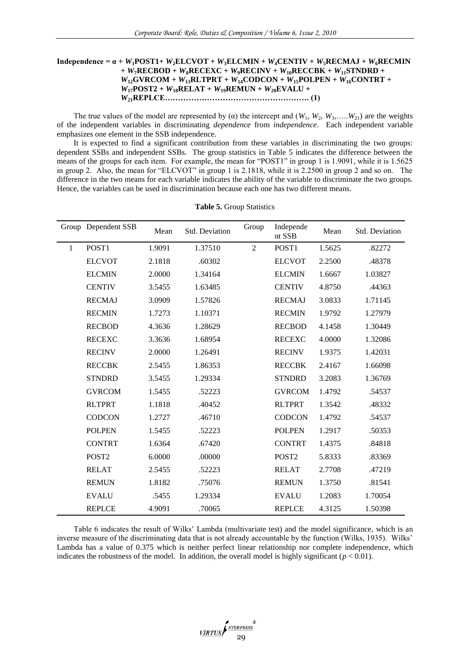# **Independence =**  $\alpha$  **+**  $W_1$ **POST1+**  $W_2$ **ELCVOT +**  $W_3$ **ELCMIN +**  $W_4$ **CENTIV +**  $W_5$ **RECMAJ +**  $W_6$ **RECMIN**  $+ W_7$ **RECBOD** +  $W_8$ **RECEXC** +  $W_9$ **RECINV** +  $W_{10}$ **RECCBK** +  $W_{11}$ **STNDRD** +  $W_{12}$ **GVRCOM +**  $W_{13}$ **RLTPRT +**  $W_{14}$ **CODCON +**  $W_{15}$ **POLPEN +**  $W_{16}$ **CONTRT +**  $W_{17}$ **POST2** +  $W_{18}$ **RELAT** +  $W_{19}$ **REMUN** +  $W_{20}$ **EVALU** + *W***21REPLCE………………………………………………. (1)**

The true values of the model are represented by ( $\alpha$ ) the intercept and ( $W_1, W_2, W_3, \ldots, W_{21}$ ) are the weights of the independent variables in discriminating *dependence* from *independence*. Each independent variable emphasizes one element in the SSB independence.

It is expected to find a significant contribution from these variables in discriminating the two groups: dependent SSBs and independent SSBs. The group statistics in Table 5 indicates the difference between the means of the groups for each item. For example, the mean for "POST1" in group 1 is 1.9091, while it is 1.5625 in group 2. Also, the mean for "ELCVOT" in group 1 is 2.1818, while it is 2.2500 in group 2 and so on. The difference in the two means for each variable indicates the ability of the variable to discriminate the two groups. Hence, the variables can be used in discrimination because each one has two different means.

|              | Group Dependent SSB | Mean   | Std. Deviation | Group          | Independe<br>nt SSB | Mean   | Std. Deviation |
|--------------|---------------------|--------|----------------|----------------|---------------------|--------|----------------|
| $\mathbf{1}$ | POST1               | 1.9091 | 1.37510        | $\overline{2}$ | POST1               | 1.5625 | .82272         |
|              | <b>ELCVOT</b>       | 2.1818 | .60302         |                | <b>ELCVOT</b>       | 2.2500 | .48378         |
|              | <b>ELCMIN</b>       | 2.0000 | 1.34164        |                | <b>ELCMIN</b>       | 1.6667 | 1.03827        |
|              | <b>CENTIV</b>       | 3.5455 | 1.63485        |                | <b>CENTIV</b>       | 4.8750 | .44363         |
|              | <b>RECMAJ</b>       | 3.0909 | 1.57826        |                | <b>RECMAJ</b>       | 3.0833 | 1.71145        |
|              | <b>RECMIN</b>       | 1.7273 | 1.10371        |                | <b>RECMIN</b>       | 1.9792 | 1.27979        |
|              | <b>RECBOD</b>       | 4.3636 | 1.28629        |                | <b>RECBOD</b>       | 4.1458 | 1.30449        |
|              | <b>RECEXC</b>       | 3.3636 | 1.68954        |                | <b>RECEXC</b>       | 4.0000 | 1.32086        |
|              | <b>RECINV</b>       | 2.0000 | 1.26491        |                | <b>RECINV</b>       | 1.9375 | 1.42031        |
|              | <b>RECCBK</b>       | 2.5455 | 1.86353        |                | <b>RECCBK</b>       | 2.4167 | 1.66098        |
|              | <b>STNDRD</b>       | 3.5455 | 1.29334        |                | <b>STNDRD</b>       | 3.2083 | 1.36769        |
|              | <b>GVRCOM</b>       | 1.5455 | .52223         |                | <b>GVRCOM</b>       | 1.4792 | .54537         |
|              | <b>RLTPRT</b>       | 1.1818 | .40452         |                | <b>RLTPRT</b>       | 1.3542 | .48332         |
|              | <b>CODCON</b>       | 1.2727 | .46710         |                | <b>CODCON</b>       | 1.4792 | .54537         |
|              | <b>POLPEN</b>       | 1.5455 | .52223         |                | <b>POLPEN</b>       | 1.2917 | .50353         |
|              | <b>CONTRT</b>       | 1.6364 | .67420         |                | <b>CONTRT</b>       | 1.4375 | .84818         |
|              | POST <sub>2</sub>   | 6.0000 | .00000         |                | POST <sub>2</sub>   | 5.8333 | .83369         |
|              | <b>RELAT</b>        | 2.5455 | .52223         |                | <b>RELAT</b>        | 2.7708 | .47219         |
|              | <b>REMUN</b>        | 1.8182 | .75076         |                | <b>REMUN</b>        | 1.3750 | .81541         |
|              | <b>EVALU</b>        | .5455  | 1.29334        |                | <b>EVALU</b>        | 1.2083 | 1.70054        |
|              | <b>REPLCE</b>       | 4.9091 | .70065         |                | <b>REPLCE</b>       | 4.3125 | 1.50398        |

**Table 5.** Group Statistics

Table 6 indicates the result of Wilks" Lambda (multivariate test) and the model significance, which is an inverse measure of the discriminating data that is not already accountable by the function (Wilks, 1935). Wilks" Lambda has a value of 0.375 which is neither perfect linear relationship nor complete independence, which indicates the robustness of the model. In addition, the overall model is highly significant ( $p < 0.01$ ).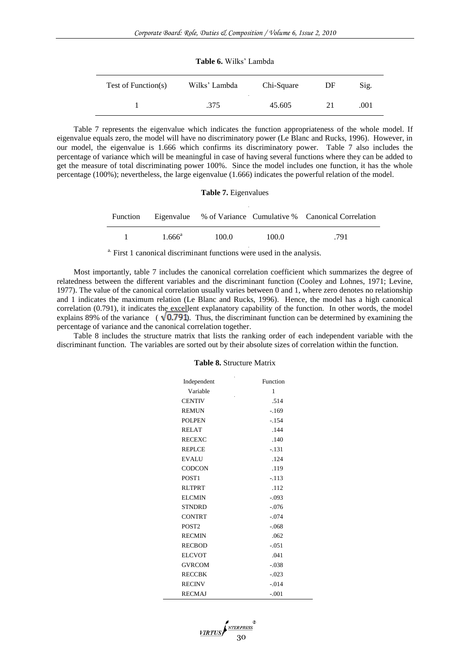| <b>Table 6.</b> Wilks' Lambda |                                       |            |    |      |  |
|-------------------------------|---------------------------------------|------------|----|------|--|
| Test of Function(s)           | Wilks' Lambda<br>$\ddot{\phantom{a}}$ | Chi-Square | DF | Sig. |  |
|                               | .375                                  | 45.605     | 21 | .001 |  |

Table 7 represents the eigenvalue which indicates the function appropriateness of the whole model. If eigenvalue equals zero, the model will have no discriminatory power (Le Blanc and Rucks, 1996). However, in our model, the eigenvalue is 1.666 which confirms its discriminatory power. Table 7 also includes the percentage of variance which will be meaningful in case of having several functions where they can be added to get the measure of total discriminating power 100%. Since the model includes one function, it has the whole percentage (100%); nevertheless, the large eigenvalue (1.666) indicates the powerful relation of the model.

|                 | <b>Table 7.</b> Eigenvalues |       |                                                                      |
|-----------------|-----------------------------|-------|----------------------------------------------------------------------|
|                 |                             |       | Function Eigenvalue % of Variance Cumulative % Canonical Correlation |
| $1.666^{\circ}$ | 100.0                       | 100.0 | .791                                                                 |

<sup>a.</sup> First 1 canonical discriminant functions were used in the analysis.

Most importantly, table 7 includes the canonical correlation coefficient which summarizes the degree of relatedness between the different variables and the discriminant function (Cooley and Lohnes, 1971; Levine, 1977). The value of the canonical correlation usually varies between 0 and 1, where zero denotes no relationship and 1 indicates the maximum relation (Le Blanc and Rucks, 1996). Hence, the model has a high canonical correlation (0.791), it indicates the excellent explanatory capability of the function. In other words, the model explains 89% of the variance ( $\sqrt{0.791}$ ). Thus, the discriminant function can be determined by examining the percentage of variance and the canonical correlation together.

Table 8 includes the structure matrix that lists the ranking order of each independent variable with the discriminant function. The variables are sorted out by their absolute sizes of correlation within the function.

#### **Table 8.** Structure Matrix

| Independent       | Function |
|-------------------|----------|
| Variable          | 1        |
| <b>CENTIV</b>     | .514     |
| <b>REMUN</b>      | $-169$   |
| <b>POLPEN</b>     | $-.154$  |
| <b>RELAT</b>      | .144     |
| <b>RECEXC</b>     | .140     |
| <b>REPLCE</b>     | $-.131$  |
| <b>EVALU</b>      | .124     |
| <b>CODCON</b>     | .119     |
| POST <sub>1</sub> | $-.113$  |
| <b>RLTPRT</b>     | .112     |
| <b>ELCMIN</b>     | $-.093$  |
| <b>STNDRD</b>     | $-.076$  |
| <b>CONTRT</b>     | $-.074$  |
| POST <sub>2</sub> | $-.068$  |
| <b>RECMIN</b>     | .062     |
| <b>RECBOD</b>     | $-.051$  |
| <b>ELCVOT</b>     | .041     |
| <b>GVRCOM</b>     | $-.038$  |
| <b>RECCBK</b>     | $-.023$  |
| <b>RECINV</b>     | $-.014$  |
| <b>RECMAJ</b>     | $-.001$  |

VIRTUS **ANTERPRESS**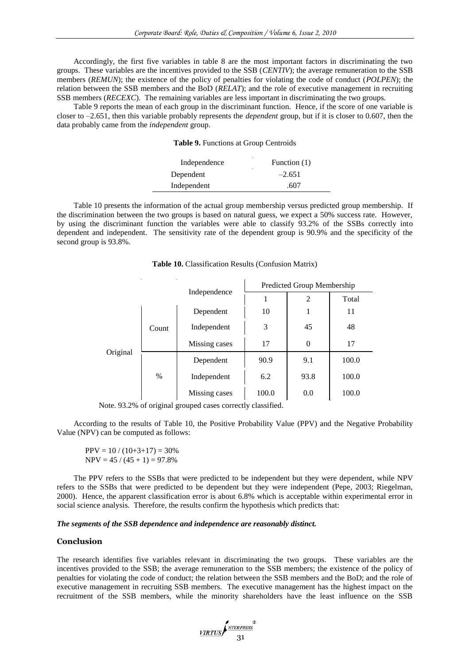Accordingly, the first five variables in table 8 are the most important factors in discriminating the two groups. These variables are the incentives provided to the SSB (*CENTIV*); the average remuneration to the SSB members (*REMUN*); the existence of the policy of penalties for violating the code of conduct (*POLPEN*); the relation between the SSB members and the BoD (*RELAT*); and the role of executive management in recruiting SSB members (*RECEXC*). The remaining variables are less important in discriminating the two groups.

Table 9 reports the mean of each group in the discriminant function. Hence, if the score of one variable is closer to –2.651, then this variable probably represents the *dependent* group, but if it is closer to 0.607, then the data probably came from the *independent* group.

**Table 9.** Functions at Group Centroids

| Independence | Function (1) |
|--------------|--------------|
| Dependent    | $-2.651$     |
| Independent  | -607         |

Table 10 presents the information of the actual group membership versus predicted group membership. If the discrimination between the two groups is based on natural guess, we expect a 50% success rate. However, by using the discriminant function the variables were able to classify 93.2% of the SSBs correctly into dependent and independent. The sensitivity rate of the dependent group is 90.9% and the specificity of the second group is 93.8%.

|          |       |               | Predicted Group Membership |          |       |  |  |
|----------|-------|---------------|----------------------------|----------|-------|--|--|
|          |       | Independence  |                            | 2        | Total |  |  |
| Original | Count | Dependent     | 10                         | 1        | 11    |  |  |
|          |       | Independent   | 3                          | 45       | 48    |  |  |
|          |       | Missing cases | 17                         | $\Omega$ | 17    |  |  |
|          | $\%$  | Dependent     | 90.9                       | 9.1      | 100.0 |  |  |
|          |       | Independent   | 6.2                        | 93.8     | 100.0 |  |  |
|          |       | Missing cases | 100.0                      | 0.0      | 100.0 |  |  |

Note. 93.2% of original grouped cases correctly classified.

According to the results of Table 10, the Positive Probability Value (PPV) and the Negative Probability Value (NPV) can be computed as follows:

 $PPV = 10 / (10+3+17) = 30%$  $NPV = 45 / (45 + 1) = 97.8%$ 

The PPV refers to the SSBs that were predicted to be independent but they were dependent, while NPV refers to the SSBs that were predicted to be dependent but they were independent (Pepe, 2003; Riegelman, 2000). Hence, the apparent classification error is about 6.8% which is acceptable within experimental error in social science analysis. Therefore, the results confirm the hypothesis which predicts that:

### *The segments of the SSB dependence and independence are reasonably distinct.*

## **Conclusion**

The research identifies five variables relevant in discriminating the two groups. These variables are the incentives provided to the SSB; the average remuneration to the SSB members; the existence of the policy of penalties for violating the code of conduct; the relation between the SSB members and the BoD; and the role of executive management in recruiting SSB members. The executive management has the highest impact on the recruitment of the SSB members, while the minority shareholders have the least influence on the SSB

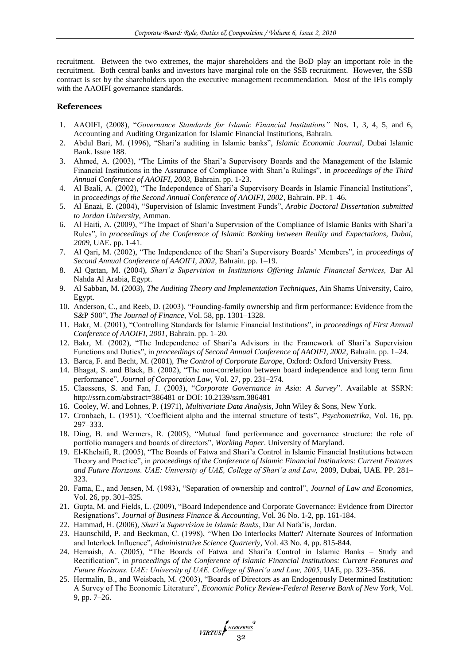recruitment. Between the two extremes, the major shareholders and the BoD play an important role in the recruitment. Both central banks and investors have marginal role on the SSB recruitment. However, the SSB contract is set by the shareholders upon the executive management recommendation. Most of the IFIs comply with the AAOIFI governance standards.

#### **References**

- 1. AAOIFI, (2008), "*Governance Standards for Islamic Financial Institutions"* Nos. 1, 3, 4, 5, and 6, Accounting and Auditing Organization for Islamic Financial Institutions, Bahrain.
- 2. Abdul Bari, M. (1996), "Shari"a auditing in Islamic banks", *Islamic Economic Journal*, Dubai Islamic Bank. Issue 188.
- 3. Ahmed, A. (2003), "The Limits of the Shari"a Supervisory Boards and the Management of the Islamic Financial Institutions in the Assurance of Compliance with Shari"a Rulings", in *proceedings of the Third Annual Conference of AAOIFI, 2003,* Bahrain. pp. 1-23.
- 4. Al Baali, A. (2002), "The Independence of Shari"a Supervisory Boards in Islamic Financial Institutions", in *proceedings of the Second Annual Conference of AAOIFI, 2002*, Bahrain. PP. 1–46.
- 5. Al Enazi, E. (2004), "Supervision of Islamic Investment Funds", *Arabic Doctoral Dissertation submitted to Jordan University*, Amman.
- 6. Al Haiti, A. (2009), "The Impact of Shari"a Supervision of the Compliance of Islamic Banks with Shari"a Rules", in *proceedings of the Conference of Islamic Banking between Reality and Expectations, Dubai, 2009*, UAE. pp. 1-41.
- 7. Al Qari, M. (2002), "The Independence of the Shari"a Supervisory Boards" Members", in *proceedings of Second Annual Conference of AAOIFI, 2002*, Bahrain. pp. 1–19.
- 8. Al Qattan, M. (2004), *Shari'a Supervision in Institutions Offering Islamic Financial Services,* Dar Al Nahda Al Arabia, Egypt.
- 9. Al Sabban, M. (2003), *The Auditing Theory and Implementation Techniques*, Ain Shams University, Cairo, Egypt.
- 10. Anderson, C., and Reeb, D. (2003), "Founding-family ownership and firm performance: Evidence from the S&P 500", *The Journal of Finance*, Vol. 58, pp. 1301–1328.
- 11. Bakr, M. (2001), "Controlling Standards for Islamic Financial Institutions", in *proceedings of First Annual Conference of AAOIFI, 2001*, Bahrain. pp. 1–20.
- 12. Bakr, M. (2002), "The Independence of Shari"a Advisors in the Framework of Shari"a Supervision Functions and Duties", in *proceedings of Second Annual Conference of AAOIFI, 2002*, Bahrain. pp. 1–24.
- 13. Barca, F. and Becht, M. (2001), *The Control of Corporate Europe*, Oxford: Oxford University Press.
- 14. Bhagat, S. and Black, B. (2002), "The non-correlation between board independence and long term firm performance", *Journal of Corporation Law*, Vol. 27, pp. 231–274.
- 15. Claessens, S. and Fan, J. (2003), "*Corporate Governance in Asia: A Survey*". Available at SSRN: http://ssrn.com/abstract=386481 or DOI: 10.2139/ssrn.386481
- 16. Cooley, W. and Lohnes, P. (1971), *Multivariate Data Analysis,* John Wiley & Sons, New York.
- 17. Cronbach, L. (1951), "Coefficient alpha and the internal structure of tests", *Psychometrika*, Vol. 16, pp. 297–333.
- 18. Ding, B. and Wermers, R. (2005), "Mutual fund performance and governance structure: the role of portfolio managers and boards of directors", *Working Paper*. University of Maryland.
- 19. El-Khelaifi, R. (2005), "The Boards of Fatwa and Shari"a Control in Islamic Financial Institutions between Theory and Practice", in *proceedings of the Conference of Islamic Financial Institutions: Current Features and Future Horizons. UAE: University of UAE, College of Shari'a and Law,* 2009, Dubai, UAE. PP. 281– 323.
- 20. Fama, E., and Jensen, M. (1983), "Separation of ownership and control", *Journal of Law and Economics*, Vol. 26, pp. 301–325.
- 21. Gupta, M. and Fields, L. (2009), "Board Independence and Corporate Governance: Evidence from Director Resignations", *Journal of Business Finance & Accounting*, Vol. 36 No. 1-2, pp. 161-184.
- 22. Hammad, H. (2006), *Shari'a Supervision in Islamic Banks*, Dar Al Nafa"is, Jordan.
- 23. Haunschild, P. and Beckman, C. (1998), "When Do Interlocks Matter? Alternate Sources of Information and Interlock Influence", *Administrative Science Quarterly*, Vol. 43 No. 4, pp. 815-844.
- 24. Hemaish, A. (2005), "The Boards of Fatwa and Shari"a Control in Islamic Banks Study and Rectification", in *proceedings of the Conference of Islamic Financial Institutions: Current Features and Future Horizons. UAE: University of UAE, College of Shari'a and Law, 2005*, UAE, pp. 323–356.
- 25. Hermalin, B., and Weisbach, M. (2003), "Boards of Directors as an Endogenously Determined Institution: A Survey of The Economic Literature", *Economic Policy Review-Federal Reserve Bank of New York*, Vol. 9, pp. 7–26.

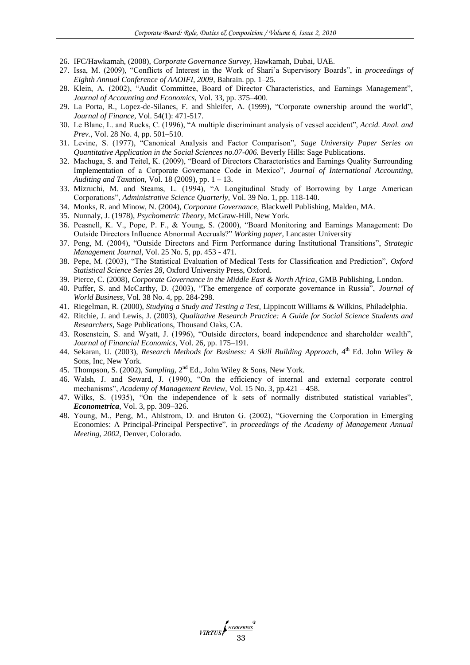- 26. IFC/Hawkamah, (2008), *Corporate Governance Survey*, Hawkamah, Dubai, UAE.
- 27. Issa, M. (2009), "Conflicts of Interest in the Work of Shari"a Supervisory Boards", in *proceedings of Eighth Annual Conference of AAOIFI, 2009*, Bahrain. pp. 1–25.
- 28. Klein, A. (2002), "Audit Committee, Board of Director Characteristics, and Earnings Management", *Journal of Accounting and Economics*, Vol. 33, pp. 375–400.
- 29. La Porta, R., Lopez-de-Silanes, F. and Shleifer, A. (1999), "Corporate ownership around the world", *Journal of Finance*, Vol. 54(1): 471-517.
- 30. Le Blanc, L. and Rucks, C. (1996), "A multiple discriminant analysis of vessel accident", *Accid. Anal. and Prev.*, Vol. 28 No. 4, pp. 501–510.
- 31. Levine, S. (1977), "Canonical Analysis and Factor Comparison", *Sage University Paper Series on Quantitative Application in the Social Sciences no.07-006.* Beverly Hills: Sage Publications.
- 32. Machuga, S. and Teitel, K. (2009), "Board of Directors Characteristics and Earnings Quality Surrounding Implementation of a Corporate Governance Code in Mexico", *Journal of International Accounting, Auditing and Taxation*, Vol. 18 (2009), pp. 1 – 13.
- 33. Mizruchi, M. and Steams, L. (1994), "A Longitudinal Study of Borrowing by Large American Corporations", *Administrative Science Quarterly*, Vol. 39 No. 1, pp. 118-140.
- 34. Monks, R. and Minow, N. (2004), *Corporate Governance,* Blackwell Publishing, Malden, MA.
- 35. Nunnaly, J. (1978), *Psychometric Theory*, McGraw-Hill, New York.
- 36. Peasnell, K. V., Pope, P. F., & Young, S. (2000), "Board Monitoring and Earnings Management: Do Outside Directors Influence Abnormal Accruals?" *Working paper*, Lancaster University
- 37. Peng, M. (2004), "Outside Directors and Firm Performance during Institutional Transitions", *Strategic Management Journal*, Vol. 25 No. 5, pp. 453 - 471.
- 38. Pepe, M. (2003), "The Statistical Evaluation of Medical Tests for Classification and Prediction", *Oxford Statistical Science Series 28*, Oxford University Press, Oxford.
- 39. Pierce, C. (2008), *Corporate Governance in the Middle East & North Africa*, GMB Publishing, London.
- 40. Puffer, S. and McCarthy, D. (2003), "The emergence of corporate governance in Russia", *Journal of World Business*, Vol. 38 No. 4, pp. 284-298.
- 41. Riegelman, R. (2000), *Studying a Study and Testing a Test,* Lippincott Williams & Wilkins, Philadelphia.
- 42. Ritchie, J. and Lewis, J. (2003), *Qualitative Research Practice: A Guide for Social Science Students and Researchers*, Sage Publications, Thousand Oaks, CA.
- 43. Rosenstein, S. and Wyatt, J. (1996), "Outside directors, board independence and shareholder wealth", *Journal of Financial Economics*, Vol. 26, pp. 175–191.
- 44. Sekaran, U. (2003), *Research Methods for Business: A Skill Building Approach*, 4<sup>th</sup> Ed. John Wiley & Sons, Inc, New York.
- 45. Thompson, S. (2002), *Sampling*, 2nd Ed., John Wiley & Sons, New York.
- 46. Walsh, J. and Seward, J. (1990), "On the efficiency of internal and external corporate control mechanisms", *Academy of Management Review*, Vol. 15 No. 3, pp.421 – 458.
- 47. Wilks, S. (1935), "On the independence of k sets of normally distributed statistical variables", *Econometrica*, Vol. 3, pp. 309–326.
- 48. Young, M., Peng, M., Ahlstrom, D. and Bruton G. (2002), "Governing the Corporation in Emerging Economies: A Principal-Principal Perspective", in *proceedings of the Academy of Management Annual Meeting, 2002*, Denver, Colorado.